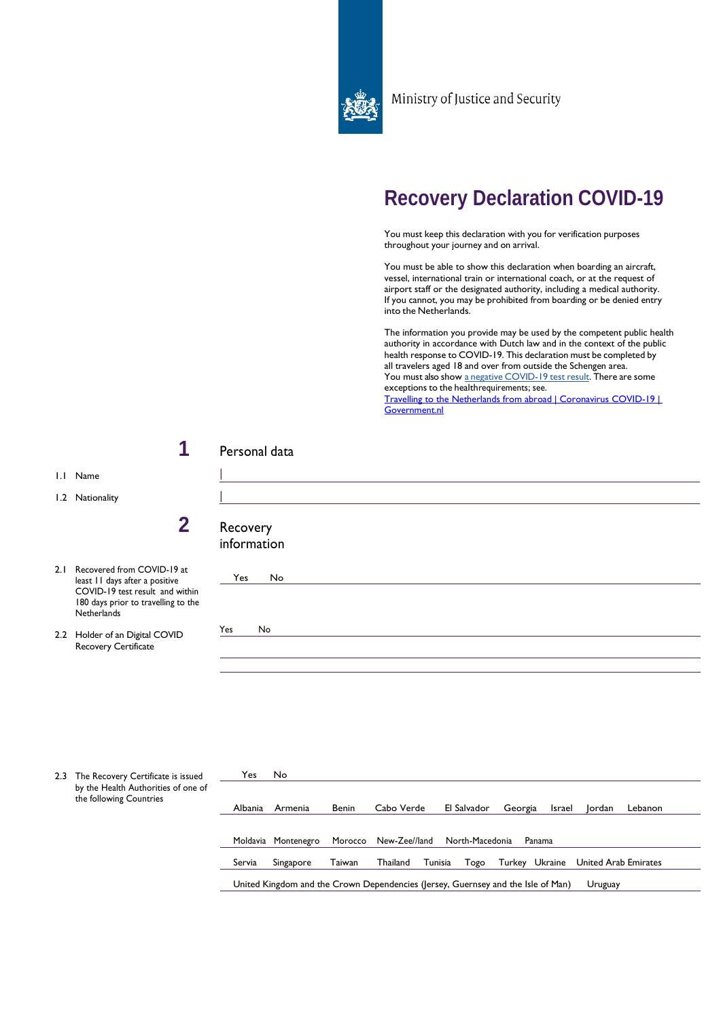

Ministry of Justice and Security

## **Recovery Declaration COVID-19**

You must keep this declaration with you for verification purposes throughout your journey and on arrival.

You must be able to show this declaration when boarding an aircraft, vessel, international train or international coach, or at the request of airport staff or the designated authority, including a medical authority. If you cannot, you may be prohibited from boarding or be denied entry into the Netherlands.

The information you provide may be used by the competent public health authority in accordance with Dutch law and in the context of the public health response to COVID-19. This declaration must be completed by all travelers aged 18 and over from outside the Schengen area. You must also show a negative [COVID-19](https://www.government.nl/topics/c/coronavirus-covid-19/visiting-the-netherlands-from-abroad/mandatory-negative-test-results-and-declaration) test result. There are some exceptions to the healthrequirements; see. [Travelling to the Netherlands from abroad | Coronavirus COVID-19 |](https://www.government.nl/topics/coronavirus-covid-19/visiting-the-netherlands-from-abroad)  [Government.nl](https://www.government.nl/topics/coronavirus-covid-19/visiting-the-netherlands-from-abroad)

1.1 Name

1.2 Nationality

- 2.1 Recovered from least 11 days at  $COVID-19$  tes 180 days prior Netherlands
- 2.2 Holder of an D Recovery Cer

| и                                                                               | Personal data           |
|---------------------------------------------------------------------------------|-------------------------|
|                                                                                 |                         |
| $\mathbf 2$                                                                     | Recovery<br>information |
| m COVID-19 at<br>fter a positive<br>t result and within<br>to travelling to the | No<br>Yes               |
| Digital COVID<br>tificate                                                       | Yes<br>No               |

| 2.3 | The Recovery Certificate is issued<br>by the Health Authorities of one of<br>the following Countries | Yes     | No                  |              |                                                                                  |                 |                   |        |                      |         |  |
|-----|------------------------------------------------------------------------------------------------------|---------|---------------------|--------------|----------------------------------------------------------------------------------|-----------------|-------------------|--------|----------------------|---------|--|
|     |                                                                                                      | Albania | Armenia             | <b>Benin</b> | Cabo Verde                                                                       | El Salvador     | Georgia           | Israel | Jordan               | Lebanon |  |
|     |                                                                                                      |         | Moldavia Montenegro | Morocco      | New-Zee//land                                                                    | North-Macedonia | Panama            |        |                      |         |  |
|     |                                                                                                      | Servia  | Singapore           | Taiwan       | Tunisia<br>Thailand                                                              | Togo            | Ukraine<br>Turkey |        | United Arab Emirates |         |  |
|     |                                                                                                      |         |                     |              | United Kingdom and the Crown Dependencies (Jersey, Guernsey and the Isle of Man) |                 |                   |        | Uruguay              |         |  |